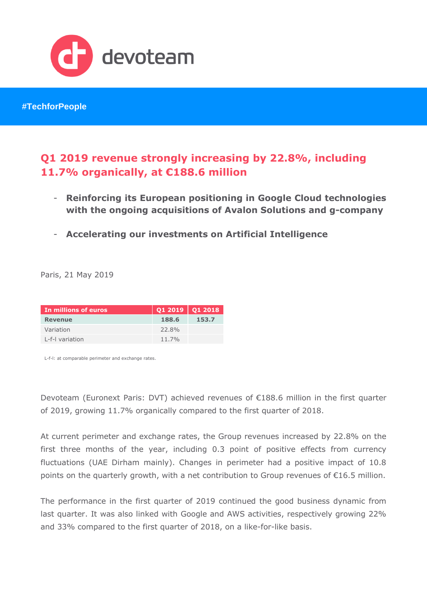

**#TechforPeople**

# **Q1 2019 revenue strongly increasing by 22.8%, including 11.7% organically, at €188.6 million**

- **Reinforcing its European positioning in Google Cloud technologies with the ongoing acquisitions of Avalon Solutions and g-company**
- **Accelerating our investments on Artificial Intelligence**

Paris, 21 May 2019

| In millions of euros | $\vert$ Q1 2019 $\vert$ Q1 2018 |       |
|----------------------|---------------------------------|-------|
| Revenue              | 188.6                           | 153.7 |
| Variation            | 22.8%                           |       |
| L-f-I variation      | $11.7\%$                        |       |

L-f-l: at comparable perimeter and exchange rates.

Devoteam (Euronext Paris: DVT) achieved revenues of €188.6 million in the first quarter of 2019, growing 11.7% organically compared to the first quarter of 2018.

At current perimeter and exchange rates, the Group revenues increased by 22.8% on the first three months of the year, including 0.3 point of positive effects from currency fluctuations (UAE Dirham mainly). Changes in perimeter had a positive impact of 10.8 points on the quarterly growth, with a net contribution to Group revenues of €16.5 million.

The performance in the first quarter of 2019 continued the good business dynamic from last quarter. It was also linked with Google and AWS activities, respectively growing 22% and 33% compared to the first quarter of 2018, on a like-for-like basis.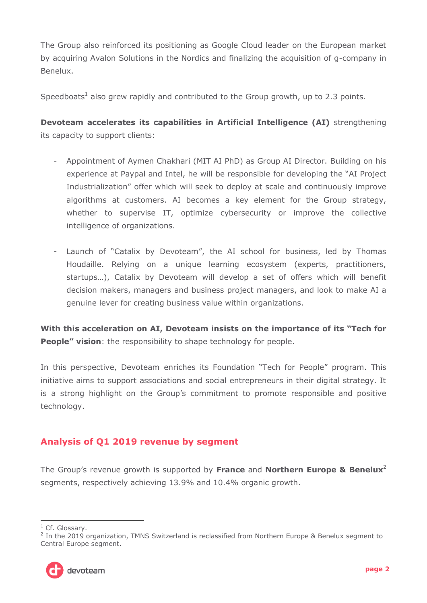The Group also reinforced its positioning as Google Cloud leader on the European market by acquiring Avalon Solutions in the Nordics and finalizing the acquisition of g-company in Benelux.

Speedboats<sup>1</sup> also grew rapidly and contributed to the Group growth, up to 2.3 points.

**Devoteam accelerates its capabilities in Artificial Intelligence (AI)** strengthening its capacity to support clients:

- Appointment of Aymen Chakhari (MIT AI PhD) as Group AI Director. Building on his experience at Paypal and Intel, he will be responsible for developing the "AI Project Industrialization" offer which will seek to deploy at scale and continuously improve algorithms at customers. AI becomes a key element for the Group strategy, whether to supervise IT, optimize cybersecurity or improve the collective intelligence of organizations.
- Launch of "Catalix by Devoteam", the AI school for business, led by Thomas Houdaille. Relying on a unique learning ecosystem (experts, practitioners, startups…), Catalix by Devoteam will develop a set of offers which will benefit decision makers, managers and business project managers, and look to make AI a genuine lever for creating business value within organizations.

**With this acceleration on AI, Devoteam insists on the importance of its "Tech for People" vision:** the responsibility to shape technology for people.

In this perspective, Devoteam enriches its Foundation "Tech for People" program. This initiative aims to support associations and social entrepreneurs in their digital strategy. It is a strong highlight on the Group's commitment to promote responsible and positive technology.

## **Analysis of Q1 2019 revenue by segment**

The Group's revenue growth is supported by **France** and **Northern Europe & Benelux**<sup>2</sup> segments, respectively achieving 13.9% and 10.4% organic growth.

<sup>&</sup>lt;sup>2</sup> In the 2019 organization, TMNS Switzerland is reclassified from Northern Europe & Benelux segment to Central Europe segment.



<sup>-</sup><sup>1</sup> Cf. Glossary.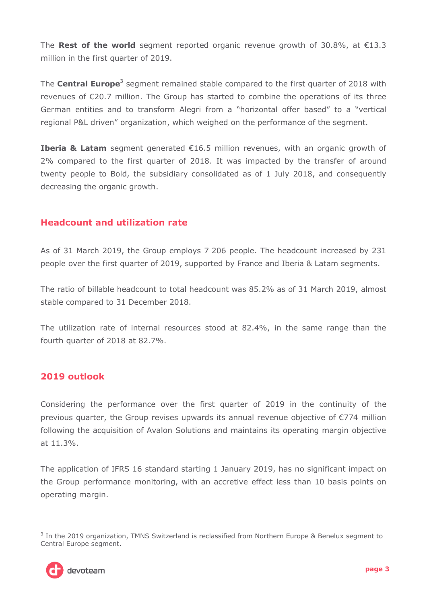The **Rest of the world** segment reported organic revenue growth of 30.8%, at  $\epsilon$ 13.3 million in the first quarter of 2019.

The **Central Europe**<sup>3</sup> segment remained stable compared to the first quarter of 2018 with revenues of  $\epsilon$ 20.7 million. The Group has started to combine the operations of its three German entities and to transform Alegri from a "horizontal offer based" to a "vertical regional P&L driven" organization, which weighed on the performance of the segment.

**Iberia & Latam** segment generated €16.5 million revenues, with an organic growth of 2% compared to the first quarter of 2018. It was impacted by the transfer of around twenty people to Bold, the subsidiary consolidated as of 1 July 2018, and consequently decreasing the organic growth.

### **Headcount and utilization rate**

As of 31 March 2019, the Group employs 7 206 people. The headcount increased by 231 people over the first quarter of 2019, supported by France and Iberia & Latam segments.

The ratio of billable headcount to total headcount was 85.2% as of 31 March 2019, almost stable compared to 31 December 2018.

The utilization rate of internal resources stood at 82.4%, in the same range than the fourth quarter of 2018 at 82.7%.

### **2019 outlook**

Considering the performance over the first quarter of 2019 in the continuity of the previous quarter, the Group revises upwards its annual revenue objective of €774 million following the acquisition of Avalon Solutions and maintains its operating margin objective at 11.3%.

The application of IFRS 16 standard starting 1 January 2019, has no significant impact on the Group performance monitoring, with an accretive effect less than 10 basis points on operating margin.

<sup>-</sup><sup>3</sup> In the 2019 organization, TMNS Switzerland is reclassified from Northern Europe & Benelux segment to Central Europe segment.

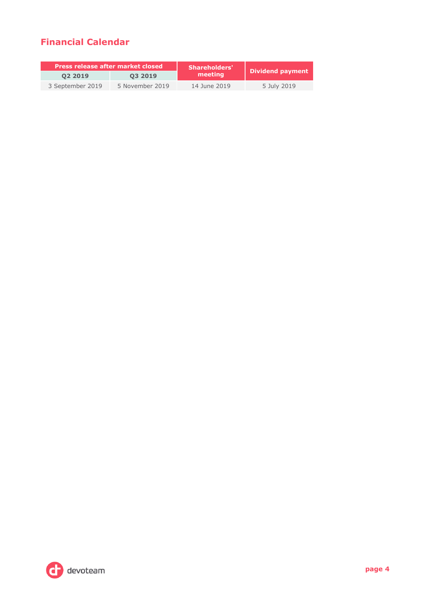## **Financial Calendar**

| <b>Press release after market closed</b> |                 | <b>Shareholders'</b> | Dividend payment |  |
|------------------------------------------|-----------------|----------------------|------------------|--|
| 02 2019                                  | 03 2019         | meeting              |                  |  |
| 3 September 2019                         | 5 November 2019 | 14 June 2019         | 5 July 2019      |  |

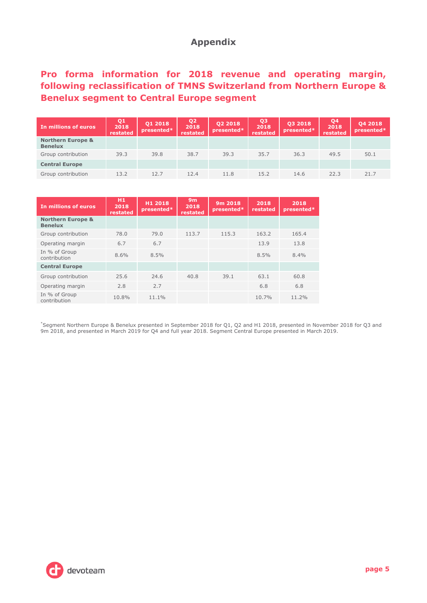### **Appendix**

## **Pro forma information for 2018 revenue and operating margin, following reclassification of TMNS Switzerland from Northern Europe & Benelux segment to Central Europe segment**

| In millions of euros                           | Q <sub>1</sub><br>2018<br>restated | 01 2018<br>presented* | Q <sub>2</sub><br>2018<br>restated | Q2 2018<br>presented* | Q3<br>2018<br>restated | Q3 2018<br>presented* | Q <sub>4</sub><br>2018<br>restated | 04 2018<br>presented* |
|------------------------------------------------|------------------------------------|-----------------------|------------------------------------|-----------------------|------------------------|-----------------------|------------------------------------|-----------------------|
| <b>Northern Europe &amp;</b><br><b>Benelux</b> |                                    |                       |                                    |                       |                        |                       |                                    |                       |
| Group contribution                             | 39.3                               | 39.8                  | 38.7                               | 39.3                  | 35.7                   | 36.3                  | 49.5                               | 50.1                  |
| <b>Central Europe</b>                          |                                    |                       |                                    |                       |                        |                       |                                    |                       |
| Group contribution                             | 13.2                               | 12.7                  | 12.4                               | 11.8                  | 15.2                   | 14.6                  | 22.3                               | 21.7                  |

| In millions of euros                           | H1<br>2018<br>restated | H1 2018<br>presented* | 9m<br>2018<br>restated | 9m 2018<br>presented* | 2018<br>restated | 2018<br>presented* |
|------------------------------------------------|------------------------|-----------------------|------------------------|-----------------------|------------------|--------------------|
| <b>Northern Europe &amp;</b><br><b>Benelux</b> |                        |                       |                        |                       |                  |                    |
| Group contribution                             | 78.0                   | 79.0                  | 113.7                  | 115.3                 | 163.2            | 165.4              |
| Operating margin                               | 6.7                    | 6.7                   |                        |                       | 13.9             | 13.8               |
| In % of Group<br>contribution                  | 8.6%                   | 8.5%                  |                        |                       | 8.5%             | 8.4%               |
| <b>Central Europe</b>                          |                        |                       |                        |                       |                  |                    |
| Group contribution                             | 25.6                   | 24.6                  | 40.8                   | 39.1                  | 63.1             | 60.8               |
| Operating margin                               | 2.8                    | 2.7                   |                        |                       | 6.8              | 6.8                |
| In % of Group<br>contribution                  | 10.8%                  | 11.1%                 |                        |                       | 10.7%            | 11.2%              |

\*Segment Northern Europe & Benelux presented in September 2018 for Q1, Q2 and H1 2018, presented in November 2018 for Q3 and 9m 2018, and presented in March 2019 for Q4 and full year 2018. Segment Central Europe presented in March 2019.

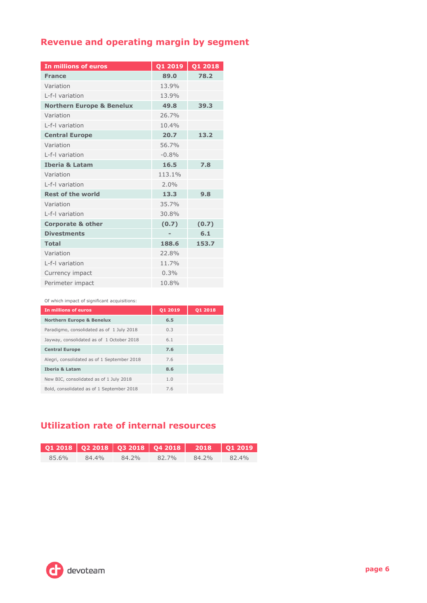# **Revenue and operating margin by segment**

| <b>In millions of euros</b>          | Q1 2019        | Q1 2018 |
|--------------------------------------|----------------|---------|
| <b>France</b>                        | 89.0           | 78.2    |
| Variation                            | 13.9%          |         |
| I-f-I variation                      | 13.9%          |         |
| <b>Northern Europe &amp; Benelux</b> | 49.8           | 39.3    |
| Variation                            | 26.7%          |         |
| I-f-I variation                      | 10.4%          |         |
| <b>Central Europe</b>                | 20.7           | 13.2    |
| Variation                            | 56.7%          |         |
| I-f-I variation                      | $-0.8%$        |         |
| <b>Iberia &amp; Latam</b>            | 16.5           | 7.8     |
| Variation                            | 113.1%         |         |
| I-f-I variation                      | 2.0%           |         |
| <b>Rest of the world</b>             | 13.3           | 9.8     |
| Variation                            | 35.7%          |         |
| I-f-I variation                      | 30.8%          |         |
| <b>Corporate &amp; other</b>         | (0.7)          | (0.7)   |
| <b>Divestments</b>                   | $\overline{a}$ | 6.1     |
| <b>Total</b>                         | 188.6          | 153.7   |
| Variation                            | 22.8%          |         |
| L-f-I variation                      | 11.7%          |         |
| Currency impact                      | 0.3%           |         |
| Perimeter impact                     | 10.8%          |         |

Of which impact of significant acquisitions:

| In millions of euros                        | 01 2019 | 01 2018 |
|---------------------------------------------|---------|---------|
| <b>Northern Europe &amp; Benelux</b>        | 6.5     |         |
| Paradigmo, consolidated as of 1 July 2018   | 0.3     |         |
| Jayway, consolidated as of 1 October 2018   | 6.1     |         |
| <b>Central Europe</b>                       | 7.6     |         |
| Alegri, consolidated as of 1 September 2018 | 7.6     |         |
| <b>Iberia &amp; Latam</b>                   | 8.6     |         |
| New BIC, consolidated as of 1 July 2018     | 1.0     |         |
| Bold, consolidated as of 1 September 2018   | 7.6     |         |

## **Utilization rate of internal resources**

|       |       |       | 01 2018 02 2018 03 2018 04 2018 2018 01 2019 |       |          |
|-------|-------|-------|----------------------------------------------|-------|----------|
| 85.6% | 84.4% | 84.2% | 82.7%                                        | 84.2% | $82.4\%$ |

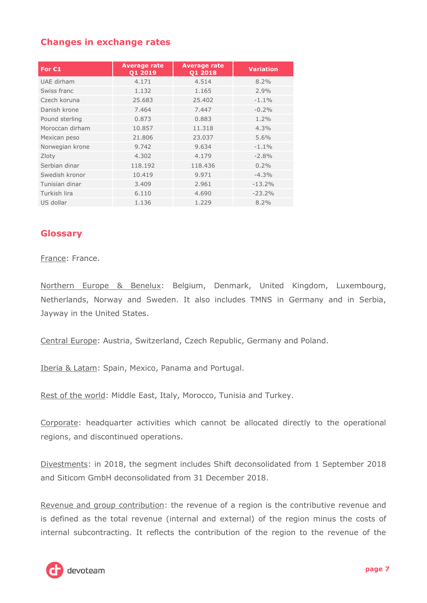### **Changes in exchange rates**

| For $C1$        | <b>Average rate</b><br>Q1 2019 | <b>Average rate</b><br>Q1 2018 | <b>Variation</b> |
|-----------------|--------------------------------|--------------------------------|------------------|
| UAE dirham      | 4.171                          | 4.514                          | 8.2%             |
| Swiss franc     | 1.132                          | 1.165                          | $2.9\%$          |
| Czech koruna    | 25.683                         | 25,402                         | $-1.1%$          |
| Danish krone    | 7.464                          | 7.447                          | $-0.2%$          |
| Pound sterling  | 0.873                          | 0.883                          | $1.2\%$          |
| Moroccan dirham | 10.857                         | 11.318                         | 4.3%             |
| Mexican peso    | 21.806                         | 23.037                         | 5.6%             |
| Norwegian krone | 9.742                          | 9.634                          | $-1.1%$          |
| Zloty           | 4.302                          | 4.179                          | $-2.8%$          |
| Serbian dinar   | 118.192                        | 118,436                        | $0.2\%$          |
| Swedish kronor  | 10.419                         | 9.971                          | $-4.3%$          |
| Tunisian dinar  | 3.409                          | 2.961                          | $-13.2%$         |
| Turkish lira    | 6.110                          | 4.690                          | $-23.2%$         |
| US dollar       | 1.136                          | 1.229                          | 8.2%             |

#### **Glossary**

#### France: France.

Northern Europe & Benelux: Belgium, Denmark, United Kingdom, Luxembourg, Netherlands, Norway and Sweden. It also includes TMNS in Germany and in Serbia, Jayway in the United States.

Central Europe: Austria, Switzerland, Czech Republic, Germany and Poland.

Iberia & Latam: Spain, Mexico, Panama and Portugal.

Rest of the world: Middle East, Italy, Morocco, Tunisia and Turkey.

Corporate: headquarter activities which cannot be allocated directly to the operational regions, and discontinued operations.

Divestments: in 2018, the segment includes Shift deconsolidated from 1 September 2018 and Siticom GmbH deconsolidated from 31 December 2018.

Revenue and group contribution: the revenue of a region is the contributive revenue and is defined as the total revenue (internal and external) of the region minus the costs of internal subcontracting. It reflects the contribution of the region to the revenue of the

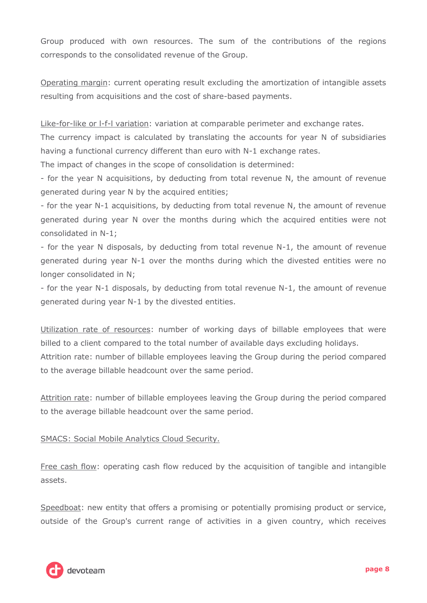Group produced with own resources. The sum of the contributions of the regions corresponds to the consolidated revenue of the Group.

Operating margin: current operating result excluding the amortization of intangible assets resulting from acquisitions and the cost of share-based payments.

Like-for-like or l-f-l variation: variation at comparable perimeter and exchange rates.

The currency impact is calculated by translating the accounts for year N of subsidiaries having a functional currency different than euro with N-1 exchange rates.

The impact of changes in the scope of consolidation is determined:

- for the year N acquisitions, by deducting from total revenue N, the amount of revenue generated during year N by the acquired entities;

- for the year N-1 acquisitions, by deducting from total revenue N, the amount of revenue generated during year N over the months during which the acquired entities were not consolidated in N-1;

- for the year N disposals, by deducting from total revenue N-1, the amount of revenue generated during year N-1 over the months during which the divested entities were no longer consolidated in N;

- for the year N-1 disposals, by deducting from total revenue N-1, the amount of revenue generated during year N-1 by the divested entities.

Utilization rate of resources: number of working days of billable employees that were billed to a client compared to the total number of available days excluding holidays. Attrition rate: number of billable employees leaving the Group during the period compared to the average billable headcount over the same period.

Attrition rate: number of billable employees leaving the Group during the period compared to the average billable headcount over the same period.

SMACS: Social Mobile Analytics Cloud Security.

Free cash flow: operating cash flow reduced by the acquisition of tangible and intangible assets.

Speedboat: new entity that offers a promising or potentially promising product or service, outside of the Group's current range of activities in a given country, which receives

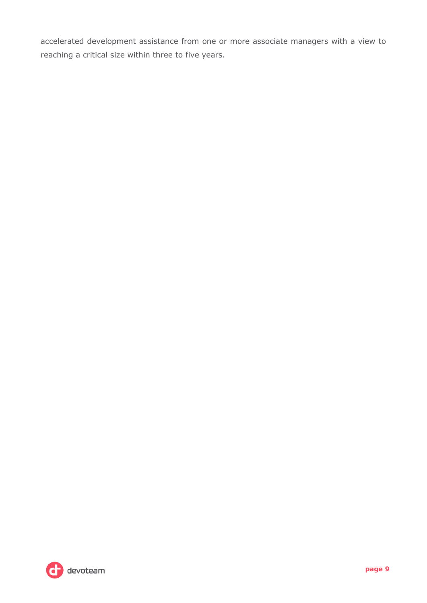accelerated development assistance from one or more associate managers with a view to reaching a critical size within three to five years.